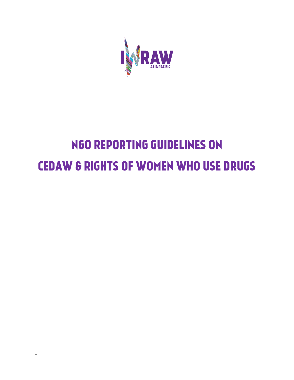

# NGO REPORTING GUIDELINES ON CEDAW & RIGHTS OF WOMEN WHO USE DRUGS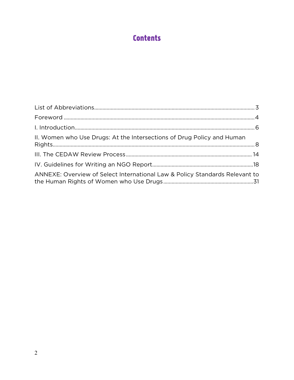# **Contents**

| II. Women who Use Drugs: At the Intersections of Drug Policy and Human      |  |
|-----------------------------------------------------------------------------|--|
|                                                                             |  |
|                                                                             |  |
| ANNEXE: Overview of Select International Law & Policy Standards Relevant to |  |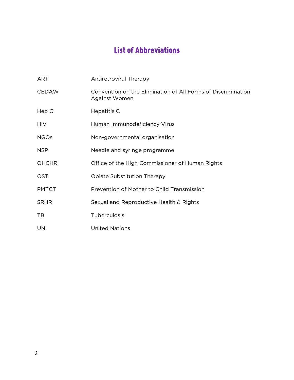# List of Abbreviations

| ART          | Antiretroviral Therapy                                                               |
|--------------|--------------------------------------------------------------------------------------|
| <b>CEDAW</b> | Convention on the Elimination of All Forms of Discrimination<br><b>Against Women</b> |
| Hep C        | Hepatitis C                                                                          |
| <b>HIV</b>   | Human Immunodeficiency Virus                                                         |
| <b>NGOs</b>  | Non-governmental organisation                                                        |
| <b>NSP</b>   | Needle and syringe programme                                                         |
| <b>OHCHR</b> | Office of the High Commissioner of Human Rights                                      |
| OST          | Opiate Substitution Therapy                                                          |
| <b>PMTCT</b> | Prevention of Mother to Child Transmission                                           |
| <b>SRHR</b>  | Sexual and Reproductive Health & Rights                                              |
| TB           | Tuberculosis                                                                         |
| <b>UN</b>    | <b>United Nations</b>                                                                |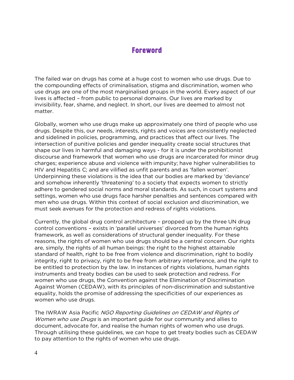# Foreword

The failed war on drugs has come at a huge cost to women who use drugs. Due to the compounding effects of criminalisation, stigma and discrimination, women who use drugs are one of the most marginalised groups in the world. Every aspect of our lives is affected – from public to personal domains. Our lives are marked by invisibility, fear, shame, and neglect. In short, our lives are deemed to almost not matter.

Globally, women who use drugs make up approximately one third of people who use drugs. Despite this, our needs, interests, rights and voices are consistently neglected and sidelined in policies, programming, and practices that affect our lives. The intersection of punitive policies and gender inequality create social structures that shape our lives in harmful and damaging ways - for it is under the prohibitionist discourse and framework that women who use drugs are incarcerated for minor drug charges; experience abuse and violence with impunity; have higher vulnerabilities to HIV and Hepatitis C; and are vilified as unfit parents and as 'fallen women'. Underpinning these violations is the idea that our bodies are marked by 'deviance' and somehow inherently 'threatening' to a society that expects women to strictly adhere to gendered social norms and moral standards. As such, in court systems and settings, women who use drugs face harsher penalties and sentences compared with men who use drugs. Within this context of social exclusion and discrimination, we must seek avenues for the protection and redress of rights violations.

Currently, the global drug control architecture – propped up by the three UN drug control conventions – exists in 'parallel universes' divorced from the human rights framework, as well as considerations of structural gender inequality. For these reasons, the rights of women who use drugs should be a central concern. Our rights are, simply, the rights of all human beings: the right to the highest attainable standard of health, right to be free from violence and discrimination, right to bodily integrity, right to privacy, right to be free from arbitrary interference, and the right to be entitled to protection by the law. In instances of rights violations, human rights instruments and treaty bodies can be used to seek protection and redress. For women who use drugs, the Convention against the Elimination of Discrimination Against Women (CEDAW), with its principles of non-discrimination and substantive equality, holds the promise of addressing the specificities of our experiences as women who use drugs.

The IWRAW Asia Pacific NGO Reporting Guidelines on CEDAW and Rights of Women who use Drugs is an important guide for our community and allies to document, advocate for, and realise the human rights of women who use drugs. Through utilising these guidelines, we can hope to get treaty bodies such as CEDAW to pay attention to the rights of women who use drugs.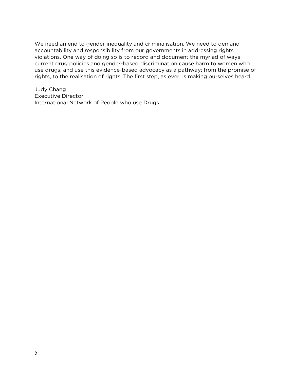We need an end to gender inequality and criminalisation. We need to demand accountability and responsibility from our governments in addressing rights violations. One way of doing so is to record and document the myriad of ways current drug policies and gender-based discrimination cause harm to women who use drugs, and use this evidence-based advocacy as a pathway: from the promise of rights, to the realisation of rights. The first step, as ever, is making ourselves heard.

Judy Chang Executive Director International Network of People who use Drugs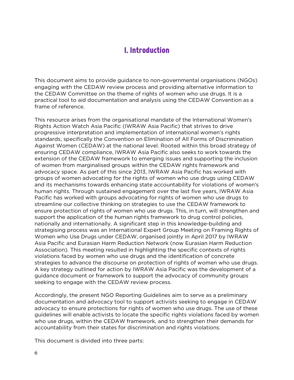# I. Introduction

This document aims to provide guidance to non-governmental organisations (NGOs) engaging with the CEDAW review process and providing alternative information to the CEDAW Committee on the theme of rights of women who use drugs. It is a practical tool to aid documentation and analysis using the CEDAW Convention as a frame of reference.

This resource arises from the organisational mandate of the International Women's Rights Action Watch Asia Pacific (IWRAW Asia Pacific) that strives to drive progressive interpretation and implementation of international women's rights standards, specifically the Convention on Elimination of All Forms of Discrimination Against Women (CEDAW) at the national level. Rooted within this broad strategy of ensuring CEDAW compliance, IWRAW Asia Pacific also seeks to work towards the extension of the CEDAW framework to emerging issues and supporting the inclusion of women from marginalised groups within the CEDAW rights framework and advocacy space. As part of this since 2013, IWRAW Asia Pacific has worked with groups of women advocating for the rights of women who use drugs using CEDAW and its mechanisms towards enhancing state accountability for violations of women's human rights. Through sustained engagement over the last five years, IWRAW Asia Pacific has worked with groups advocating for rights of women who use drugs to streamline our collective thinking on strategies to use the CEDAW framework to ensure protection of rights of women who use drugs. This, in turn, will strengthen and support the application of the human rights framework to drug control policies, nationally and internationally. A significant step in this knowledge-building and strategising process was an International Expert Group Meeting on Framing Rights of Women who Use Drugs under CEDAW, organised jointly in April 2017 by IWRAW Asia Pacific and Eurasian Harm Reduction Network (now Eurasian Harm Reduction Association). This meeting resulted in highlighting the specific contexts of rights violations faced by women who use drugs and the identification of concrete strategies to advance the discourse on protection of rights of women who use drugs. A key strategy outlined for action by IWRAW Asia Pacific was the development of a guidance document or framework to support the advocacy of community groups seeking to engage with the CEDAW review process.

Accordingly, the present NGO Reporting Guidelines aim to serve as a preliminary documentation and advocacy tool to support activists seeking to engage in CEDAW advocacy to ensure protections for rights of women who use drugs. The use of these guidelines will enable activists to locate the specific rights violations faced by women who use drugs, within the CEDAW framework, and to strengthen their demands for accountability from their states for discrimination and rights violations.

This document is divided into three parts: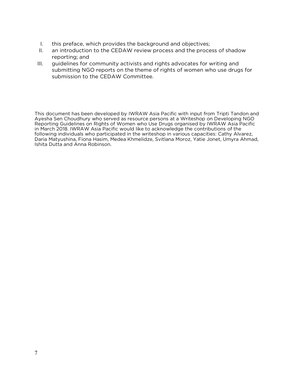- I. this preface, which provides the background and objectives;
- II. an introduction to the CEDAW review process and the process of shadow reporting; and
- III. guidelines for community activists and rights advocates for writing and submitting NGO reports on the theme of rights of women who use drugs for submission to the CEDAW Committee.

This document has been developed by IWRAW Asia Pacific with input from Tripti Tandon and Ayesha Sen Choudhury who served as resource persons at a Writeshop on Developing NGO Reporting Guidelines on Rights of Women who Use Drugs organised by IWRAW Asia Pacific in March 2018. IWRAW Asia Pacific would like to acknowledge the contributions of the following individuals who participated in the writeshop in various capacities: Cathy Alvarez, Daria Matyushina, Fiona Hasim, Medea Khmelidze, Svitlana Moroz, Yatie Jonet, Umyra Ahmad, Ishita Dutta and Anna Robinson.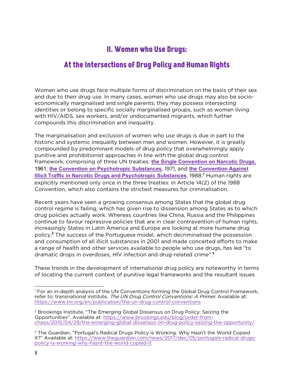# II. Women who Use Drugs:

# At the Intersections of Drug Policy and Human Rights

Women who use drugs face multiple forms of discrimination on the basis of their sex and due to their drug use. In many cases, women who use drugs may also be socioeconomically marginalised and single parents; they may possess intersecting identities or belong to specific socially marginalised groups, such as women living with HIV/AIDS, sex workers, and/or undocumented migrants, which further compounds this discrimination and inequality.

The marginalisation and exclusion of women who use drugs is due in part to the historic and systemic inequality between men and women. However, it is greatly compounded by predominant models of drug policy that overwhelmingly apply punitive and prohibitionist approaches in line with the global drug control framework, comprising of three UN treaties: **the Single Convention on Narcotic Drugs,**  1961; **the Convention on Psychotropic Substances**, 1971, and **the Convention Against Illicit Traffic in Narcotic Drugs and Psychotropic Substances, 1988.<sup>1</sup> Human rights are** explicitly mentioned only once in the three treaties: in Article 14(2) of the 1988 Convention, which also contains the strictest measures for criminalisation.

Recent years have seen a growing consensus among States that the global drug control regime is failing, which has given rise to dissension among States as to which drug policies actually work. Whereas countries like China, Russia and the Philippines continue to favour repressive policies that are in clear contravention of human rights, increasingly States in Latin America and Europe are looking at more humane drug policy.**<sup>2</sup>** The success of the Portuguese model, which decriminalised the possession and consumption of all illicit substances in 2001 and made concerted efforts to make a range of health and other services available to people who use drugs, has led "to dramatic drops in overdoses, HIV infection and drug-related crime". **3**

These trends in the development of international drug policy are noteworthy in terms of locating the current context of punitive legal frameworks and the resultant issues

 <sup>1</sup> For an in-depth analysis of the UN Conventions forming the Global Drug Control Framework, refer to: transnational institute, The UN Drug Control Conventions: A Primer. Available at: https://www.tni.org/en/publication/the-un-drug-control-conventions

<sup>2</sup> Brookings Institute, "The Emerging Global Dissensus on Drug Policy: Seizing the Opportunities". Available at: https://www.brookings.edu/blog/order-fromchaos/2015/04/29/the-emerging-global-dissensus-on-drug-policy-seizing-the-opportunity/

<sup>&</sup>lt;sup>3</sup> The Guardian, "Portugal's Radical Drugs Policy is Working. Why Hasn't the World Copied It?" Available at: https://www.theguardian.com/news/2017/dec/05/portugals-radical-drugspolicy-is-working-why-hasnt-the-world-copied-it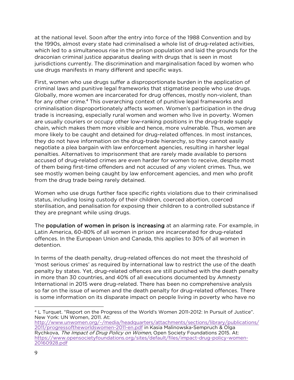at the national level. Soon after the entry into force of the 1988 Convention and by the 1990s, almost every state had criminalised a whole list of drug-related activities, which led to a simultaneous rise in the prison population and laid the grounds for the draconian criminal justice apparatus dealing with drugs that is seen in most jurisdictions currently. The discrimination and marginalisation faced by women who use drugs manifests in many different and specific ways.

First, women who use drugs suffer a disproportionate burden in the application of criminal laws and punitive legal frameworks that stigmatise people who use drugs. Globally, more women are incarcerated for drug offences, mostly non-violent, than for any other crime.<sup>4</sup> This overarching context of punitive legal frameworks and criminalisation disproportionately affects women. Women's participation in the drug trade is increasing, especially rural women and women who live in poverty. Women are usually couriers or occupy other low-ranking positions in the drug-trade supply chain, which makes them more visible and hence, more vulnerable. Thus, women are more likely to be caught and detained for drug-related offences. In most instances, they do not have information on the drug-trade hierarchy, so they cannot easily negotiate a plea bargain with law enforcement agencies, resulting in harsher legal penalties. Alternatives to imprisonment that are rarely made available to persons accused of drug-related crimes are even harder for women to receive, despite most of them being first-time offenders and not accused of any violent crimes. Thus, we see mostly women being caught by law enforcement agencies, and men who profit from the drug trade being rarely detained.

Women who use drugs further face specific rights violations due to their criminalised status, including losing custody of their children, coerced abortion, coerced sterilisation, and penalisation for exposing their children to a controlled substance if they are pregnant while using drugs.

The population of women in prison is increasing at an alarming rate. For example, in Latin America, 60-80% of all women in prison are incarcerated for drug-related offences. In the European Union and Canada, this applies to 30% of all women in detention.

In terms of the death penalty, drug-related offences do not meet the threshold of 'most serious crimes' as required by international law to restrict the use of the death penalty by states. Yet, drug-related offences are still punished with the death penalty in more than 30 countries, and 40% of all executions documented by Amnesty International in 2015 were drug-related. There has been no comprehensive analysis so far on the issue of women and the death penalty for drug-related offences. There is some information on its disparate impact on people living in poverty who have no

 <sup>4</sup> L Turquet. "Report on the Progress of the World's Women 2011-2012: In Pursuit of Justice". New York: UN Women, 2011. At:

http://www.unwomen.org/~/media/headquarters/attachments/sections/library/publications/ 2011/progressoftheworldswomen-2011-en.pdf in Kasia Malinowska-Sempruch & Olga Rychkova, The Impact of Drug Policy on Women, Open Society Foundations 2015. At: https://www.opensocietyfoundations.org/sites/default/files/impact-drug-policy-women-20160928.pdf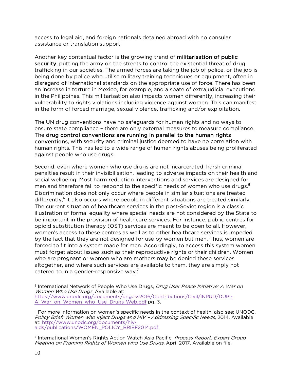access to legal aid, and foreign nationals detained abroad with no consular assistance or translation support.

Another key contextual factor is the growing trend of militarisation of public security, putting the army on the streets to control the existential threat of drug trafficking in our societies. The armed forces are taking the job of police, or the job is being done by police who utilise military training techniques or equipment, often in disregard of international standards on the appropriate use of force. There has been an increase in torture in Mexico, for example, and a spate of extrajudicial executions in the Philippines. This militarisation also impacts women differently, increasing their vulnerability to rights violations including violence against women. This can manifest in the form of forced marriage, sexual violence, trafficking and/or exploitation.

The UN drug conventions have no safeguards for human rights and no ways to ensure state compliance - there are only external measures to measure compliance. The drug control conventions are running in parallel to the human rights conventions, with security and criminal justice deemed to have no correlation with human rights. This has led to a wide range of human rights abuses being proliferated against people who use drugs.

Second, even where women who use drugs are not incarcerated, harsh criminal penalties result in their invisibilisation, leading to adverse impacts on their health and social wellbeing. Most harm reduction interventions and services are designed for men and therefore fail to respond to the specific needs of women who use drugs.**<sup>5</sup>** Discrimination does not only occur where people in similar situations are treated differently; **<sup>6</sup>** it also occurs where people in different situations are treated similarly. The current situation of healthcare services in the post-Soviet region is a classic illustration of formal equality where special needs are not considered by the State to be important in the provision of healthcare services. For instance, public centres for opioid substitution therapy (OST) services are meant to be open to all. However, women's access to these centres as well as to other healthcare services is impeded by the fact that they are not designed for use by women but men. Thus, women are forced to fit into a system made for men. Accordingly, to access this system women must forget about issues such as their reproductive rights or their children. Women who are pregnant or women who are mothers may be denied these services altogether, and where such services are available to them, they are simply not catered to in a gender-responsive way.**<sup>7</sup>**

<sup>&</sup>lt;sup>5</sup> International Network of People Who Use Drugs, *Drug User Peace Initiative: A War on* Women Who Use Drugs. Available at: https://www.unodc.org/documents/ungass2016/Contributions/Civil/INPUD/DUPI-A\_War\_on\_Women\_who\_Use\_Drugs-Web.pdf pg. 3.

<sup>6</sup> For more information on women's specific needs in the context of health, also see: UNODC, Policy Brief: Women who Inject Drugs and HIV – Addressing Specific Needs, 2014. Available at: http://www.unodc.org/documents/hivaids/publications/WOMEN\_POLICY\_BRIEF2014.pdf

<sup>&</sup>lt;sup>7</sup> International Women's Rights Action Watch Asia Pacific, Process Report: Expert Group Meeting on Framing Rights of Women who Use Drugs, April 2017. Available on file.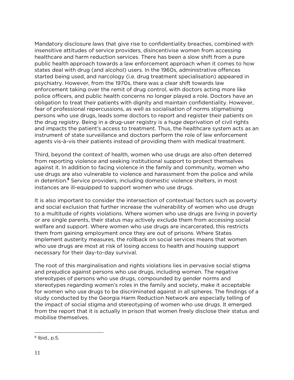Mandatory disclosure laws that give rise to confidentiality breaches, combined with insensitive attitudes of service providers, disincentivise women from accessing healthcare and harm reduction services. There has been a slow shift from a pure public health approach towards a law enforcement approach when it comes to how states deal with drug (and alcohol) users. In the 1960s, administrative offences started being used, and narcology (i.e. drug treatment specialisation) appeared in psychiatry. However, from the 1970s, there was a clear shift towards law enforcement taking over the remit of drug control, with doctors acting more like police officers, and public health concerns no longer played a role. Doctors have an obligation to treat their patients with dignity and maintain confidentiality. However, fear of professional repercussions, as well as socialisation of norms stigmatising persons who use drugs, leads some doctors to report and register their patients on the drug registry. Being in a drug-user registry is a huge deprivation of civil rights and impacts the patient's access to treatment. Thus, the healthcare system acts as an instrument of state surveillance and doctors perform the role of law enforcement agents vis-à-vis their patients instead of providing them with medical treatment.

Third, beyond the context of health, women who use drugs are also often deterred from reporting violence and seeking institutional support to protect themselves against it. In addition to facing violence in the family and community, women who use drugs are also vulnerable to violence and harassment from the police and while in detention.**<sup>8</sup>** Service providers, including domestic violence shelters, in most instances are ill-equipped to support women who use drugs.

It is also important to consider the intersection of contextual factors such as poverty and social exclusion that further increase the vulnerability of women who use drugs to a multitude of rights violations. Where women who use drugs are living in poverty or are single parents, their status may actively exclude them from accessing social welfare and support. Where women who use drugs are incarcerated, this restricts them from gaining employment once they are out of prisons. Where States implement austerity measures, the rollback on social services means that women who use drugs are most at risk of losing access to health and housing support necessary for their day-to-day survival.

The root of this marginalisation and rights violations lies in pervasive social stigma and prejudice against persons who use drugs, including women. The negative stereotypes of persons who use drugs, compounded by gender norms and stereotypes regarding women's roles in the family and society, make it acceptable for women who use drugs to be discriminated against in all spheres. The findings of a study conducted by the Georgia Harm Reduction Network are especially telling of the impact of social stigma and stereotyping of women who use drugs. It emerged from the report that it is actually in prison that women freely disclose their status and mobilise themselves.

 <sup>8</sup> Ibid., p.5.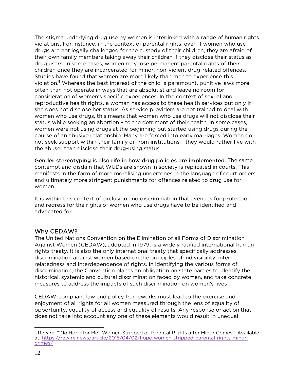The stigma underlying drug use by women is interlinked with a range of human rights violations. For instance, in the context of parental rights, even if women who use drugs are not legally challenged for the custody of their children, they are afraid of their own family members taking away their children if they disclose their status as drug users. In some cases, women may lose permanent parental rights of their children once they are incarcerated for minor, non-violent drug-related offences. Studies have found that women are more likely than men to experience this violation.**<sup>9</sup>** Whereas the best interest of the child is paramount, punitive laws more often than not operate in ways that are absolutist and leave no room for consideration of women's specific experiences. In the context of sexual and reproductive health rights, a woman has access to these health services but only if she does not disclose her status. As service providers are not trained to deal with women who use drugs, this means that women who use drugs will not disclose their status while seeking an abortion – to the detriment of their health. In some cases, women were not using drugs at the beginning but started using drugs during the course of an abusive relationship. Many are forced into early marriages. Women do not seek support within their family or from institutions – they would rather live with the abuser than disclose their drug-using status.

Gender stereotyping is also rife in how drug policies are implemented. The same contempt and disdain that WUDs are shown in society is replicated in courts. This manifests in the form of more moralising undertones in the language of court orders and ultimately more stringent punishments for offences related to drug use for women.

It is within this context of exclusion and discrimination that avenues for protection and redress for the rights of women who use drugs have to be identified and advocated for.

#### Why CEDAW?

The United Nations Convention on the Elimination of all Forms of Discrimination Against Women (CEDAW), adopted in 1979, is a widely ratified international human rights treaty. It is also the only international treaty that specifically addresses discrimination against women based on the principles of indivisibility, interrelatedness and interdependence of rights. In identifying the various forms of discrimination, the Convention places an obligation on state parties to identify the historical, systemic and cultural discrimination faced by women, and take concrete measures to address the impacts of such discrimination on women's lives

CEDAW-compliant law and policy frameworks must lead to the exercise and enjoyment of all rights for all women measured through the lens of equality of opportunity, equality of access and equality of results. Any response or action that does not take into account any one of these elements would result in unequal

<sup>&</sup>lt;sup>9</sup> Rewire, "'No Hope for Me': Women Stripped of Parental Rights after Minor Crimes". Available at: https://rewire.news/article/2015/04/02/hope-women-stripped-parental-rights-minorcrimes/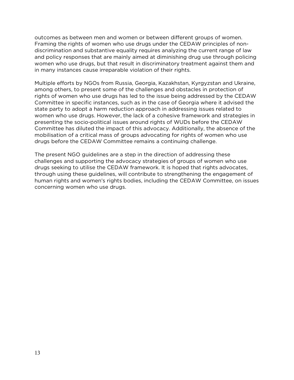outcomes as between men and women or between different groups of women. Framing the rights of women who use drugs under the CEDAW principles of nondiscrimination and substantive equality requires analyzing the current range of law and policy responses that are mainly aimed at diminishing drug use through policing women who use drugs, but that result in discriminatory treatment against them and in many instances cause irreparable violation of their rights.

Multiple efforts by NGOs from Russia, Georgia, Kazakhstan, Kyrgyzstan and Ukraine, among others, to present some of the challenges and obstacles in protection of rights of women who use drugs has led to the issue being addressed by the CEDAW Committee in specific instances, such as in the case of Georgia where it advised the state party to adopt a harm reduction approach in addressing issues related to women who use drugs. However, the lack of a cohesive framework and strategies in presenting the socio-political issues around rights of WUDs before the CEDAW Committee has diluted the impact of this advocacy. Additionally, the absence of the mobilisation of a critical mass of groups advocating for rights of women who use drugs before the CEDAW Committee remains a continuing challenge.

The present NGO guidelines are a step in the direction of addressing these challenges and supporting the advocacy strategies of groups of women who use drugs seeking to utilise the CEDAW framework. It is hoped that rights advocates, through using these guidelines, will contribute to strengthening the engagement of human rights and women's rights bodies, including the CEDAW Committee, on issues concerning women who use drugs.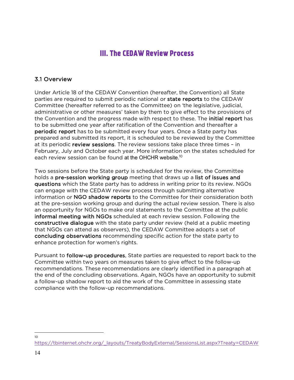# III. The CEDAW Review Process

#### 3.1 Overview

Under Article 18 of the CEDAW Convention (hereafter, the Convention) all State parties are required to submit periodic national or **state reports** to the CEDAW Committee (hereafter referred to as the Committee) on 'the legislative, judicial, administrative or other measures' taken by them to give effect to the provisions of the Convention and the progress made with respect to these. The initial report has to be submitted one year after ratification of the Convention and thereafter a periodic report has to be submitted every four years. Once a State party has prepared and submitted its report, it is scheduled to be reviewed by the Committee at its periodic review sessions. The review sessions take place three times – in February, July and October each year. More information on the states scheduled for each review session can be found at the OHCHR website.<sup>10</sup>

Two sessions before the State party is scheduled for the review, the Committee holds a pre-session working group meeting that draws up a list of issues and questions which the State party has to address in writing prior to its review. NGOs can engage with the CEDAW review process through submitting alternative information or NGO shadow reports to the Committee for their consideration both at the pre-session working group and during the actual review session. There is also an opportunity for NGOs to make oral statements to the Committee at the public informal meeting with NGOs scheduled at each review session. Following the constructive dialogue with the state party under review (held at a public meeting that NGOs can attend as observers), the CEDAW Committee adopts a set of concluding observations recommending specific action for the state party to enhance protection for women's rights.

Pursuant to follow-up procedures, State parties are requested to report back to the Committee within two years on measures taken to give effect to the follow-up recommendations. These recommendations are clearly identified in a paragraph at the end of the concluding observations. Again, NGOs have an opportunity to submit a follow-up shadow report to aid the work of the Committee in assessing state compliance with the follow-up recommendations.

 $10<sup>1</sup>$ 

https://tbinternet.ohchr.org/\_layouts/TreatyBodyExternal/SessionsList.aspx?Treaty=CEDAW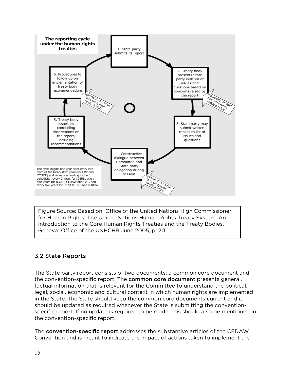

Figure Source: Based on: Office of the United Nations High Commissioner for Human Rights: The United Nations Human Rights Treaty System: An Introduction to the Core Human Rights Treaties and the Treaty Bodies. Geneva: Office of the UNHCHR June 2005, p. 20.

## 3.2 State Reports

The State party report consists of two documents: a common core document and the convention-specific report. The common core document presents general, factual information that is relevant for the Committee to understand the political, legal, social, economic and cultural context in which human rights are implemented in the State. The State should keep the common core documents current and it should be updated as required whenever the State is submitting the conventionspecific report. If no update is required to be made, this should also be mentioned in the convention-specific report.

The convention-specific report addresses the substantive articles of the CEDAW Convention and is meant to indicate the impact of actions taken to implement the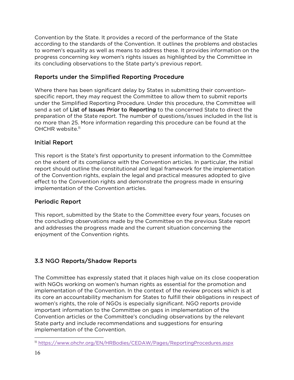Convention by the State. It provides a record of the performance of the State according to the standards of the Convention. It outlines the problems and obstacles to women's equality as well as means to address these. It provides information on the progress concerning key women's rights issues as highlighted by the Committee in its concluding observations to the State party's previous report.

## Reports under the Simplified Reporting Procedure

Where there has been significant delay by States in submitting their conventionspecific report, they may request the Committee to allow them to submit reports under the Simplified Reporting Procedure. Under this procedure, the Committee will send a set of List of Issues Prior to Reporting to the concerned State to direct the preparation of the State report. The number of questions/issues included in the list is no more than 25. More information regarding this procedure can be found at the OHCHR website.<sup>11</sup>

## Initial Report

This report is the State's first opportunity to present information to the Committee on the extent of its compliance with the Convention articles. In particular, the initial report should outline the constitutional and legal framework for the implementation of the Convention rights, explain the legal and practical measures adopted to give effect to the Convention rights and demonstrate the progress made in ensuring implementation of the Convention articles.

## Periodic Report

This report, submitted by the State to the Committee every four years, focuses on the concluding observations made by the Committee on the previous State report and addresses the progress made and the current situation concerning the enjoyment of the Convention rights.

## 3.3 NGO Reports/Shadow Reports

The Committee has expressly stated that it places high value on its close cooperation with NGOs working on women's human rights as essential for the promotion and implementation of the Convention. In the context of the review process which is at its core an accountability mechanism for States to fulfill their obligations in respect of women's rights, the role of NGOs is especially significant. NGO reports provide important information to the Committee on gaps in implementation of the Convention articles or the Committee's concluding observations by the relevant State party and include recommendations and suggestions for ensuring implementation of the Convention.

 <sup>11</sup> https://www.ohchr.org/EN/HRBodies/CEDAW/Pages/ReportingProcedures.aspx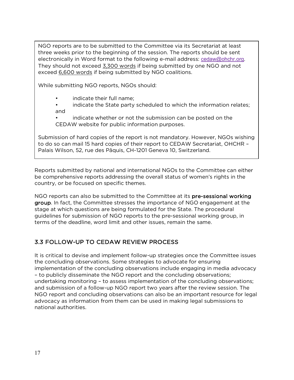NGO reports are to be submitted to the Committee via its Secretariat at least three weeks prior to the beginning of the session. The reports should be sent electronically in Word format to the following e-mail address: cedaw@ohchr.org. They should not exceed 3,300 words if being submitted by one NGO and not exceed 6,600 words if being submitted by NGO coalitions.

While submitting NGO reports, NGOs should:

- indicate their full name:
- indicate the State party scheduled to which the information relates; and

indicate whether or not the submission can be posted on the CEDAW website for public information purposes.

Submission of hard copies of the report is not mandatory. However, NGOs wishing to do so can mail 15 hard copies of their report to CEDAW Secretariat, OHCHR – Palais Wilson, 52, rue des Pâquis, CH-1201 Geneva 10, Switzerland.

Reports submitted by national and international NGOs to the Committee can either be comprehensive reports addressing the overall status of women's rights in the country, or be focused on specific themes.

NGO reports can also be submitted to the Committee at its pre-sessional working group. In fact, the Committee stresses the importance of NGO engagement at the stage at which questions are being formulated for the State. The procedural guidelines for submission of NGO reports to the pre-sessional working group, in terms of the deadline, word limit and other issues, remain the same.

## 3.3 FOLLOW-UP TO CEDAW REVIEW PROCESS

It is critical to devise and implement follow-up strategies once the Committee issues the concluding observations. Some strategies to advocate for ensuring implementation of the concluding observations include engaging in media advocacy – to publicly disseminate the NGO report and the concluding observations; undertaking monitoring – to assess implementation of the concluding observations; and submission of a follow-up NGO report two years after the review session. The NGO report and concluding observations can also be an important resource for legal advocacy as information from them can be used in making legal submissions to national authorities.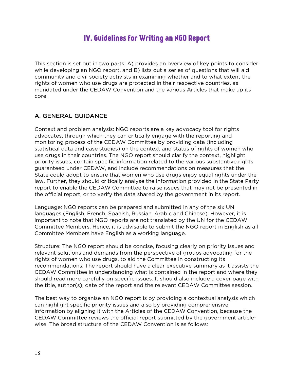# IV. Guidelines for Writing an NGO Report

This section is set out in two parts: A) provides an overview of key points to consider while developing an NGO report, and B) lists out a series of questions that will aid community and civil society activists in examining whether and to what extent the rights of women who use drugs are protected in their respective countries, as mandated under the CEDAW Convention and the various Articles that make up its core.

## A. GENERAL GUIDANCE

Context and problem analysis: NGO reports are a key advocacy tool for rights advocates, through which they can critically engage with the reporting and monitoring process of the CEDAW Committee by providing data (including statistical data and case studies) on the context and status of rights of women who use drugs in their countries. The NGO report should clarify the context, highlight priority issues, contain specific information related to the various substantive rights guaranteed under CEDAW, and include recommendations on measures that the State could adopt to ensure that women who use drugs enjoy equal rights under the law. Further, they should critically analyse the information provided in the State Party report to enable the CEDAW Committee to raise issues that may not be presented in the official report, or to verify the data shared by the government in its report.

Language: NGO reports can be prepared and submitted in any of the six UN languages (English, French, Spanish, Russian, Arabic and Chinese). However, it is important to note that NGO reports are not translated by the UN for the CEDAW Committee Members. Hence, it is advisable to submit the NGO report in English as all Committee Members have English as a working language.

Structure: The NGO report should be concise, focusing clearly on priority issues and relevant solutions and demands from the perspective of groups advocating for the rights of women who use drugs, to aid the Committee in constructing its recommendations. The report should have a clear executive summary as it assists the CEDAW Committee in understanding what is contained in the report and where they should read more carefully on specific issues. It should also include a cover page with the title, author(s), date of the report and the relevant CEDAW Committee session.

The best way to organise an NGO report is by providing a contextual analysis which can highlight specific priority issues and also by providing comprehensive information by aligning it with the Articles of the CEDAW Convention, because the CEDAW Committee reviews the official report submitted by the government articlewise. The broad structure of the CEDAW Convention is as follows: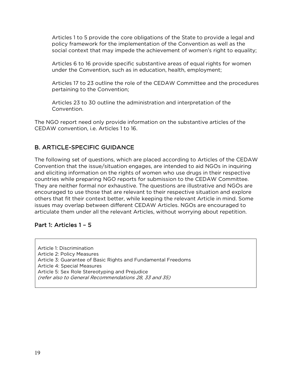Articles 1 to 5 provide the core obligations of the State to provide a legal and policy framework for the implementation of the Convention as well as the social context that may impede the achievement of women's right to equality;

Articles 6 to 16 provide specific substantive areas of equal rights for women under the Convention, such as in education, health, employment;

Articles 17 to 23 outline the role of the CEDAW Committee and the procedures pertaining to the Convention;

Articles 23 to 30 outline the administration and interpretation of the Convention.

The NGO report need only provide information on the substantive articles of the CEDAW convention, i.e. Articles 1 to 16.

## B. ARTICLE-SPECIFIC GUIDANCE

The following set of questions, which are placed according to Articles of the CEDAW Convention that the issue/situation engages, are intended to aid NGOs in inquiring and eliciting information on the rights of women who use drugs in their respective countries while preparing NGO reports for submission to the CEDAW Committee. They are neither formal nor exhaustive. The questions are illustrative and NGOs are encouraged to use those that are relevant to their respective situation and explore others that fit their context better, while keeping the relevant Article in mind. Some issues may overlap between different CEDAW Articles. NGOs are encouraged to articulate them under all the relevant Articles, without worrying about repetition.

#### Part 1: Articles 1 – 5

Article 1: Discrimination Article 2: Policy Measures Article 3: Guarantee of Basic Rights and Fundamental Freedoms Article 4: Special Measures Article 5: Sex Role Stereotyping and Prejudice (refer also to General Recommendations 28, 33 and 35)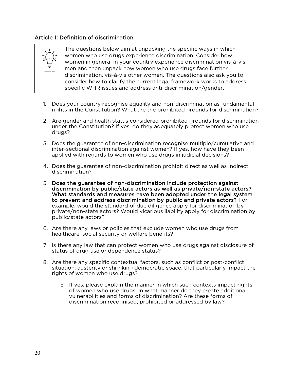#### Article 1: Definition of discrimination



The questions below aim at unpacking the specific ways in which women who use drugs experience discrimination. Consider how women in general in your country experience discrimination vis-à-vis men and then unpack how women who use drugs face further discrimination, vis-à-vis other women. The questions also ask you to consider how to clarify the current legal framework works to address specific WHR issues and address anti-discrimination/gender.

1. Does your country recognise equality and non-discrimination as fundamental rights in the Constitution? What are the prohibited grounds for discrimination?

discrimination, and thus how you the understood in the understood in the understood in that  $\alpha$ 

- 2. Are gender and health status considered prohibited grounds for discrimination under the Constitution? If yes, do they adequately protect women who use drugs?
- 3. Does the guarantee of non-discrimination recognise multiple/cumulative and inter-sectional discrimination against women? If yes, how have they been applied with regards to women who use drugs in judicial decisions?
- 4. Does the guarantee of non-discrimination prohibit direct as well as indirect discrimination?
- 5. Does the guarantee of non-discrimination include protection against discrimination by public/state actors as well as private/non-state actors? What standards and measures have been adopted under the legal system to prevent and address discrimination by public and private actors? For example, would the standard of due diligence apply for discrimination by private/non-state actors? Would vicarious liability apply for discrimination by public/state actors?
- 6. Are there any laws or policies that exclude women who use drugs from healthcare, social security or welfare benefits?
- 7. Is there any law that can protect women who use drugs against disclosure of status of drug use or dependence status?
- 8. Are there any specific contextual factors, such as conflict or post-conflict situation, austerity or shrinking democratic space, that particularly impact the rights of women who use drugs?
	- $\circ$  If yes, please explain the manner in which such contexts impact rights of women who use drugs. In what manner do they create additional vulnerabilities and forms of discrimination? Are these forms of discrimination recognised, prohibited or addressed by law?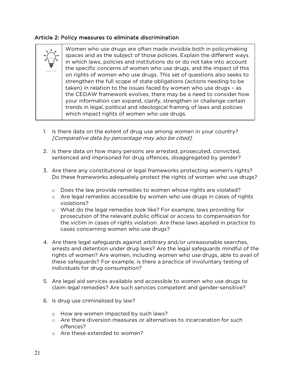#### Article 2: Policy measures to eliminate discrimination



Women who use drugs are often made invisible both in policymaking spaces and as the subject of those policies. Explain the different ways in which laws, policies and institutions do or do not take into account the specific concerns of women who use drugs, and the impact of this on rights of women who use drugs. This set of questions also seeks to strengthen the full scope of state obligations (actions needing to be taken) in relation to the issues faced by women who use drugs – as the CEDAW framework evolves, there may be a need to consider how your information can expand, clarify, strengthen or challenge certain trends in legal, political and ideological framing of laws and policies which impact rights of women who use drugs.

- 1. Is there data on the extent of drug use among women in your country? [Comparative data by percentage may also be cited].
- 2. Is there data on how many persons are arrested, prosecuted, convicted, sentenced and imprisoned for drug offences, disaggregated by gender?
- 3. Are there any constitutional or legal frameworks protecting women's rights? Do these frameworks adequately protect the rights of women who use drugs?
	- o Does the law provide remedies to women whose rights are violated?
	- o Are legal remedies accessible by women who use drugs in cases of rights violations?
	- o What do the legal remedies look like? For example, laws providing for prosecution of the relevant public official or access to compensation for the victim in cases of rights violation. Are these laws applied in practice to cases concerning women who use drugs?
- 4. Are there legal safeguards against arbitrary and/or unreasonable searches, arrests and detention under drug laws? Are the legal safeguards mindful of the rights of women? Are women, including women who use drugs, able to avail of these safeguards? For example, is there a practice of involuntary testing of individuals for drug consumption?
- 5. Are legal aid services available and accessible to women who use drugs to claim legal remedies? Are such services competent and gender-sensitive?
- 6. Is drug use criminalised by law?
	- o How are women impacted by such laws?
	- o Are there diversion measures or alternatives to incarceration for such offences?
	- o Are these extended to women?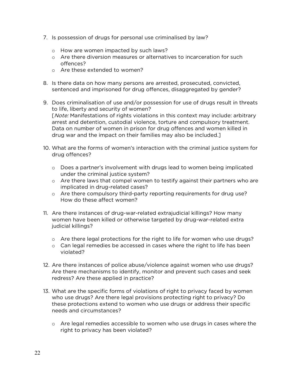- 7. Is possession of drugs for personal use criminalised by law?
	- o How are women impacted by such laws?
	- o Are there diversion measures or alternatives to incarceration for such offences?
	- o Are these extended to women?
- 8. Is there data on how many persons are arrested, prosecuted, convicted, sentenced and imprisoned for drug offences, disaggregated by gender?
- 9. Does criminalisation of use and/or possession for use of drugs result in threats to life, liberty and security of women? [Note: Manifestations of rights violations in this context may include: arbitrary arrest and detention, custodial violence, torture and compulsory treatment. Data on number of women in prison for drug offences and women killed in drug war and the impact on their families may also be included.]
- 10. What are the forms of women's interaction with the criminal justice system for drug offences?
	- o Does a partner's involvement with drugs lead to women being implicated under the criminal justice system?
	- o Are there laws that compel women to testify against their partners who are implicated in drug-related cases?
	- o Are there compulsory third-party reporting requirements for drug use? How do these affect women?
- 11. Are there instances of drug-war-related extrajudicial killings? How many women have been killed or otherwise targeted by drug-war-related extra judicial killings?
	- o Are there legal protections for the right to life for women who use drugs?
	- o Can legal remedies be accessed in cases where the right to life has been violated?
- 12. Are there instances of police abuse/violence against women who use drugs? Are there mechanisms to identify, monitor and prevent such cases and seek redress? Are these applied in practice?
- 13. What are the specific forms of violations of right to privacy faced by women who use drugs? Are there legal provisions protecting right to privacy? Do these protections extend to women who use drugs or address their specific needs and circumstances?
	- o Are legal remedies accessible to women who use drugs in cases where the right to privacy has been violated?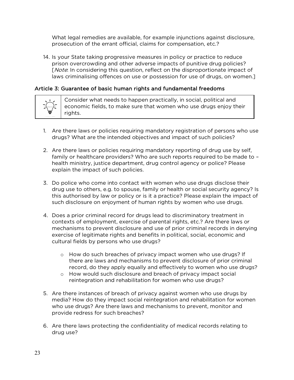What legal remedies are available, for example injunctions against disclosure, prosecution of the errant official, claims for compensation, etc.?

14. Is your State taking progressive measures in policy or practice to reduce prison overcrowding and other adverse impacts of punitive drug policies? [*Note*: In considering this question, reflect on the disproportionate impact of laws criminalising offences on use or possession for use of drugs, on women.]

#### Article 3: Guarantee of basic human rights and fundamental freedoms



Consider what needs to happen practically, in social, political and economic fields, to make sure that women who use drugs enjoy their rights.

- 1. Are there laws or policies requiring mandatory registration of persons who use drugs? What are the intended objectives and impact of such policies?
- 2. Are there laws or policies requiring mandatory reporting of drug use by self, family or healthcare providers? Who are such reports required to be made to – health ministry, justice department, drug control agency or police? Please explain the impact of such policies.
- 3. Do police who come into contact with women who use drugs disclose their drug use to others, e.g. to spouse, family or health or social security agency? Is this authorised by law or policy or is it a practice? Please explain the impact of such disclosure on enjoyment of human rights by women who use drugs.
- 4. Does a prior criminal record for drugs lead to discriminatory treatment in contexts of employment, exercise of parental rights, etc.? Are there laws or mechanisms to prevent disclosure and use of prior criminal records in denying exercise of legitimate rights and benefits in political, social, economic and cultural fields by persons who use drugs?
	- o How do such breaches of privacy impact women who use drugs? If there are laws and mechanisms to prevent disclosure of prior criminal record, do they apply equally and effectively to women who use drugs?
	- o How would such disclosure and breach of privacy impact social reintegration and rehabilitation for women who use drugs?
- 5. Are there instances of breach of privacy against women who use drugs by media? How do they impact social reintegration and rehabilitation for women who use drugs? Are there laws and mechanisms to prevent, monitor and provide redress for such breaches?
- 6. Are there laws protecting the confidentiality of medical records relating to drug use?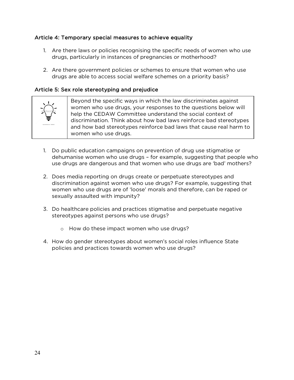#### Article 4: Temporary special measures to achieve equality

- 1. Are there laws or policies recognising the specific needs of women who use drugs, particularly in instances of pregnancies or motherhood?
- 2. Are there government policies or schemes to ensure that women who use drugs are able to access social welfare schemes on a priority basis?

#### Article 5: Sex role stereotyping and prejudice



Beyond the specific ways in which the law discriminates against women who use drugs, your responses to the questions below will help the CEDAW Committee understand the social context of discrimination. Think about how bad laws reinforce bad stereotypes and how bad stereotypes reinforce bad laws that cause real harm to women who use drugs.

- 1. Do public education campaigns on prevention of drug use stigmatise or dehumanise women who use drugs – for example, suggesting that people who use drugs are dangerous and that women who use drugs are 'bad' mothers?
- 2. Does media reporting on drugs create or perpetuate stereotypes and discrimination against women who use drugs? For example, suggesting that women who use drugs are of 'loose' morals and therefore, can be raped or sexually assaulted with impunity?
- 3. Do healthcare policies and practices stigmatise and perpetuate negative stereotypes against persons who use drugs?
	- o How do these impact women who use drugs?
- 4. How do gender stereotypes about women's social roles influence State policies and practices towards women who use drugs?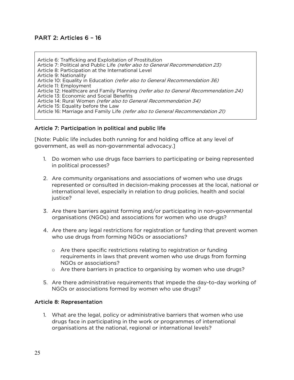### PART 2: Articles 6 – 16

Article 6: Trafficking and Exploitation of Prostitution Article 7: Political and Public Life (refer also to General Recommendation 23) Article 8: Participation at the International Level Article 9: Nationality Article 10: Equality in Education (refer also to General Recommendation 36) Article 11: Employment Article 12: Healthcare and Family Planning (refer also to General Recommendation 24) Article 13: Economic and Social Benefits Article 14: Rural Women (refer also to General Recommendation 34) Article 15: Equality before the Law Article 16: Marriage and Family Life (refer also to General Recommendation 21)

#### Article 7: Participation in political and public life

[Note: Public life includes both running for and holding office at any level of government, as well as non-governmental advocacy.]

- 1. Do women who use drugs face barriers to participating or being represented in political processes?
- 2. Are community organisations and associations of women who use drugs represented or consulted in decision-making processes at the local, national or international level, especially in relation to drug policies, health and social justice?
- 3. Are there barriers against forming and/or participating in non-governmental organisations (NGOs) and associations for women who use drugs?
- 4. Are there any legal restrictions for registration or funding that prevent women who use drugs from forming NGOs or associations?
	- $\circ$  Are there specific restrictions relating to registration or funding requirements in laws that prevent women who use drugs from forming NGOs or associations?
	- o Are there barriers in practice to organising by women who use drugs?
- 5. Are there administrative requirements that impede the day-to-day working of NGOs or associations formed by women who use drugs?

#### Article 8: Representation

1. What are the legal, policy or administrative barriers that women who use drugs face in participating in the work or programmes of international organisations at the national, regional or international levels?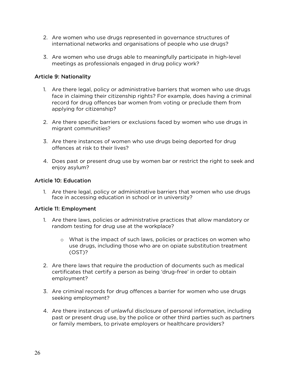- 2. Are women who use drugs represented in governance structures of international networks and organisations of people who use drugs?
- 3. Are women who use drugs able to meaningfully participate in high-level meetings as professionals engaged in drug policy work?

#### Article 9: Nationality

- 1. Are there legal, policy or administrative barriers that women who use drugs face in claiming their citizenship rights? For example, does having a criminal record for drug offences bar women from voting or preclude them from applying for citizenship?
- 2. Are there specific barriers or exclusions faced by women who use drugs in migrant communities?
- 3. Are there instances of women who use drugs being deported for drug offences at risk to their lives?
- 4. Does past or present drug use by women bar or restrict the right to seek and enjoy asylum?

#### Article 10: Education

1. Are there legal, policy or administrative barriers that women who use drugs face in accessing education in school or in university?

#### Article 11: Employment

- 1. Are there laws, policies or administrative practices that allow mandatory or random testing for drug use at the workplace?
	- o What is the impact of such laws, policies or practices on women who use drugs, including those who are on opiate substitution treatment (OST)?
- 2. Are there laws that require the production of documents such as medical certificates that certify a person as being 'drug-free' in order to obtain employment?
- 3. Are criminal records for drug offences a barrier for women who use drugs seeking employment?
- 4. Are there instances of unlawful disclosure of personal information, including past or present drug use, by the police or other third parties such as partners or family members, to private employers or healthcare providers?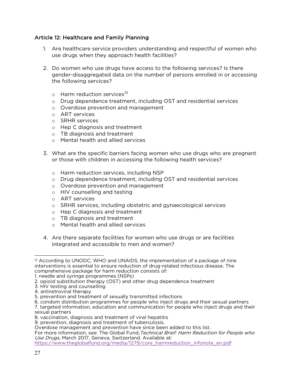#### Article 12: Healthcare and Family Planning

- 1. Are healthcare service providers understanding and respectful of women who use drugs when they approach health facilities?
- 2. Do women who use drugs have access to the following services? Is there gender-disaggregated data on the number of persons enrolled in or accessing the following services?
	- $\circ$  Harm reduction services<sup>12</sup>
	- o Drug dependence treatment, including OST and residential services
	- o Overdose prevention and management
	- o ART services
	- o SRHR services
	- o Hep C diagnosis and treatment
	- o TB diagnosis and treatment
	- o Mental health and allied services
- 3. What are the specific barriers facing women who use drugs who are pregnant or those with children in accessing the following health services?
	- o Harm reduction services, including NSP
	- o Drug dependence treatment, including OST and residential services
	- o Overdose prevention and management
	- o HIV counselling and testing
	- o ART services
	- o SRHR services, including obstetric and gynaecological services
	- o Hep C diagnosis and treatment
	- o TB diagnosis and treatment
	- o Mental health and allied services
- 4. Are there separate facilities for women who use drugs or are facilities integrated and accessible to men and women?

3. HIV testing and counselling

6. condom distribution programmes for people who inject drugs and their sexual partners

8. vaccination, diagnosis and treatment of viral hepatitis

 $12$  According to UNODC, WHO and UNAIDS, the implementation of a package of nine interventions is essential to ensure reduction of drug-related infectious disease. The comprehensive package for harm reduction consists of:

<sup>1.</sup> needle and syringe programmes (NSPs)

<sup>2.</sup> opioid substitution therapy (OST) and other drug dependence treatment

<sup>4.</sup> antiretroviral therapy

<sup>5.</sup> prevention and treatment of sexually transmitted infections

<sup>7.</sup> targeted information, education and communication for people who inject drugs and their sexual partners

<sup>9.</sup> prevention, diagnosis and treatment of tuberculosis.

Overdose management and prevention have since been added to this list.

For more information, see: The Global Fund, Technical Brief: Harm Reduction for People who Use Drugs, March 2017, Geneva, Switzerland. Available at:

https://www.theglobalfund.org/media/1279/core\_harmreduction\_infonote\_en.pdf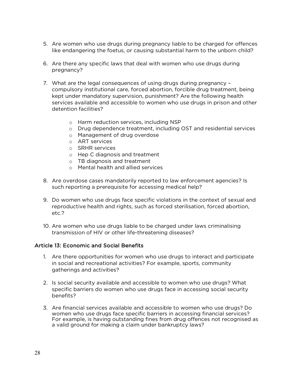- 5. Are women who use drugs during pregnancy liable to be charged for offences like endangering the foetus, or causing substantial harm to the unborn child?
- 6. Are there any specific laws that deal with women who use drugs during pregnancy?
- 7. What are the legal consequences of using drugs during pregnancy compulsory institutional care, forced abortion, forcible drug treatment, being kept under mandatory supervision, punishment? Are the following health services available and accessible to women who use drugs in prison and other detention facilities?
	- o Harm reduction services, including NSP
	- o Drug dependence treatment, including OST and residential services
	- o Management of drug overdose
	- o ART services
	- o SRHR services
	- o Hep C diagnosis and treatment
	- o TB diagnosis and treatment
	- o Mental health and allied services
- 8. Are overdose cases mandatorily reported to law enforcement agencies? Is such reporting a prerequisite for accessing medical help?
- 9. Do women who use drugs face specific violations in the context of sexual and reproductive health and rights, such as forced sterilisation, forced abortion, etc.?
- 10. Are women who use drugs liable to be charged under laws criminalising transmission of HIV or other life-threatening diseases?

#### Article 13: Economic and Social Benefits

- 1. Are there opportunities for women who use drugs to interact and participate in social and recreational activities? For example, sports, community gatherings and activities?
- 2. Is social security available and accessible to women who use drugs? What specific barriers do women who use drugs face in accessing social security benefits?
- 3. Are financial services available and accessible to women who use drugs? Do women who use drugs face specific barriers in accessing financial services? For example, is having outstanding fines from drug offences not recognised as a valid ground for making a claim under bankruptcy laws?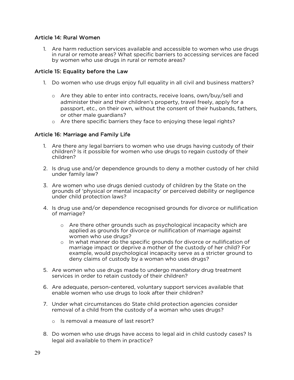#### Article 14: Rural Women

1. Are harm reduction services available and accessible to women who use drugs in rural or remote areas? What specific barriers to accessing services are faced by women who use drugs in rural or remote areas?

#### Article 15: Equality before the Law

- 1. Do women who use drugs enjoy full equality in all civil and business matters?
	- o Are they able to enter into contracts, receive loans, own/buy/sell and administer their and their children's property, travel freely, apply for a passport, etc., on their own, without the consent of their husbands, fathers, or other male guardians?
	- o Are there specific barriers they face to enjoying these legal rights?

#### Article 16: Marriage and Family Life

- 1. Are there any legal barriers to women who use drugs having custody of their children? Is it possible for women who use drugs to regain custody of their children?
- 2. Is drug use and/or dependence grounds to deny a mother custody of her child under family law?
- 3. Are women who use drugs denied custody of children by the State on the grounds of 'physical or mental incapacity' or perceived debility or negligence under child protection laws?
- 4. Is drug use and/or dependence recognised grounds for divorce or nullification of marriage?
	- o Are there other grounds such as psychological incapacity which are applied as grounds for divorce or nullification of marriage against women who use drugs?
	- o In what manner do the specific grounds for divorce or nullification of marriage impact or deprive a mother of the custody of her child? For example, would psychological incapacity serve as a stricter ground to deny claims of custody by a woman who uses drugs?
- 5. Are women who use drugs made to undergo mandatory drug treatment services in order to retain custody of their children?
- 6. Are adequate, person-centered, voluntary support services available that enable women who use drugs to look after their children?
- 7. Under what circumstances do State child protection agencies consider removal of a child from the custody of a woman who uses drugs?
	- o Is removal a measure of last resort?
- 8. Do women who use drugs have access to legal aid in child custody cases? Is legal aid available to them in practice?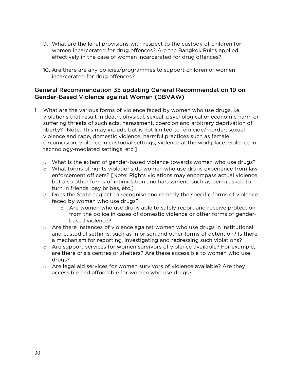- 9. What are the legal provisions with respect to the custody of children for women incarcerated for drug offences? Are the Bangkok Rules applied effectively in the case of women incarcerated for drug offences?
- 10. Are there are any policies/programmes to support children of women incarcerated for drug offences?

#### General Recommendation 35 updating General Recommendation 19 on Gender-Based Violence against Women (GBVAW)

- 1. What are the various forms of violence faced by women who use drugs, i.e. violations that result in death, physical, sexual, psychological or economic harm or suffering threats of such acts, harassment, coercion and arbitrary deprivation of liberty? [Note: This may include but is not limited to femicide/murder, sexual violence and rape, domestic violence, harmful practices such as female circumcision, violence in custodial settings, violence at the workplace, violence in technology-mediated settings, etc.]
	- o What is the extent of gender-based violence towards women who use drugs?
	- o What forms of rights violations do women who use drugs experience from law enforcement officers? [Note: Rights violations may encompass actual violence, but also other forms of intimidation and harassment, such as being asked to turn in friends, pay bribes, etc.]
	- o Does the State neglect to recognise and remedy the specific forms of violence faced by women who use drugs?
		- o Are women who use drugs able to safely report and receive protection from the police in cases of domestic violence or other forms of genderbased violence?
	- o Are there instances of violence against women who use drugs in institutional and custodial settings, such as in prison and other forms of detention? Is there a mechanism for reporting, investigating and redressing such violations?
	- o Are support services for women survivors of violence available? For example, are there crisis centres or shelters? Are these accessible to women who use drugs?
	- o Are legal aid services for women survivors of violence available? Are they accessible and affordable for women who use drugs?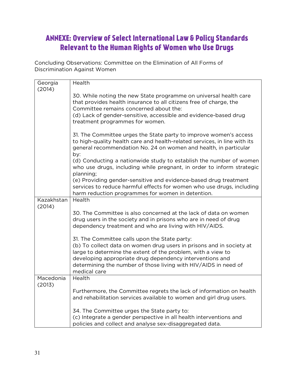# ANNEXE: Overview of Select International Law & Policy Standards Relevant to the Human Rights of Women who Use Drugs

Concluding Observations: Committee on the Elimination of All Forms of Discrimination Against Women

| Georgia              | Health                                                                    |
|----------------------|---------------------------------------------------------------------------|
| (2014)               |                                                                           |
|                      | 30. While noting the new State programme on universal health care         |
|                      | that provides health insurance to all citizens free of charge, the        |
|                      | Committee remains concerned about the:                                    |
|                      | (d) Lack of gender-sensitive, accessible and evidence-based drug          |
|                      | treatment programmes for women.                                           |
|                      |                                                                           |
|                      | 31. The Committee urges the State party to improve women's access         |
|                      | to high-quality health care and health-related services, in line with its |
|                      | general recommendation No. 24 on women and health, in particular          |
|                      | by:                                                                       |
|                      | (d) Conducting a nationwide study to establish the number of women        |
|                      | who use drugs, including while pregnant, in order to inform strategic     |
|                      | planning;                                                                 |
|                      | (e) Providing gender-sensitive and evidence-based drug treatment          |
|                      | services to reduce harmful effects for women who use drugs, including     |
|                      | harm reduction programmes for women in detention.                         |
|                      |                                                                           |
| Kazakhstan<br>(2014) | Health                                                                    |
|                      | 30. The Committee is also concerned at the lack of data on women          |
|                      | drug users in the society and in prisons who are in need of drug          |
|                      | dependency treatment and who are living with HIV/AIDS.                    |
|                      |                                                                           |
|                      | 31. The Committee calls upon the State party:                             |
|                      | (b) To collect data on women drug users in prisons and in society at      |
|                      | large to determine the extent of the problem, with a view to              |
|                      | developing appropriate drug dependency interventions and                  |
|                      | determining the number of those living with HIV/AIDS in need of           |
|                      | medical care                                                              |
| Macedonia            | Health                                                                    |
| (2013)               |                                                                           |
|                      | Furthermore, the Committee regrets the lack of information on health      |
|                      | and rehabilitation services available to women and girl drug users.       |
|                      |                                                                           |
|                      | 34. The Committee urges the State party to:                               |
|                      | (c) Integrate a gender perspective in all health interventions and        |
|                      | policies and collect and analyse sex-disaggregated data.                  |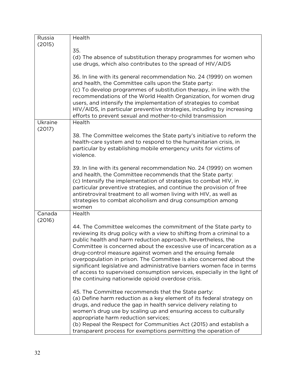| Russia            | Health                                                                                                                                                                                                                                                                                                                                                                                                                                                                                                                                                                                                                            |
|-------------------|-----------------------------------------------------------------------------------------------------------------------------------------------------------------------------------------------------------------------------------------------------------------------------------------------------------------------------------------------------------------------------------------------------------------------------------------------------------------------------------------------------------------------------------------------------------------------------------------------------------------------------------|
| (2015)            |                                                                                                                                                                                                                                                                                                                                                                                                                                                                                                                                                                                                                                   |
|                   | 35.                                                                                                                                                                                                                                                                                                                                                                                                                                                                                                                                                                                                                               |
|                   | (d) The absence of substitution therapy programmes for women who                                                                                                                                                                                                                                                                                                                                                                                                                                                                                                                                                                  |
|                   | use drugs, which also contributes to the spread of HIV/AIDS                                                                                                                                                                                                                                                                                                                                                                                                                                                                                                                                                                       |
|                   | 36. In line with its general recommendation No. 24 (1999) on women<br>and health, the Committee calls upon the State party:<br>(c) To develop programmes of substitution therapy, in line with the                                                                                                                                                                                                                                                                                                                                                                                                                                |
|                   | recommendations of the World Health Organization, for women drug<br>users, and intensify the implementation of strategies to combat<br>HIV/AIDS, in particular preventive strategies, including by increasing                                                                                                                                                                                                                                                                                                                                                                                                                     |
|                   | efforts to prevent sexual and mother-to-child transmission                                                                                                                                                                                                                                                                                                                                                                                                                                                                                                                                                                        |
| Ukraine<br>(2017) | Health                                                                                                                                                                                                                                                                                                                                                                                                                                                                                                                                                                                                                            |
|                   | 38. The Committee welcomes the State party's initiative to reform the<br>health-care system and to respond to the humanitarian crisis, in<br>particular by establishing mobile emergency units for victims of<br>violence.                                                                                                                                                                                                                                                                                                                                                                                                        |
|                   | 39. In line with its general recommendation No. 24 (1999) on women<br>and health, the Committee recommends that the State party:<br>(c) Intensify the implementation of strategies to combat HIV, in<br>particular preventive strategies, and continue the provision of free<br>antiretroviral treatment to all women living with HIV, as well as<br>strategies to combat alcoholism and drug consumption among<br>women                                                                                                                                                                                                          |
| Canada            | Health                                                                                                                                                                                                                                                                                                                                                                                                                                                                                                                                                                                                                            |
| (2016)            | 44. The Committee welcomes the commitment of the State party to<br>reviewing its drug policy with a view to shifting from a criminal to a<br>public health and harm reduction approach. Nevertheless, the<br>Committee is concerned about the excessive use of incarceration as a<br>drug-control measure against women and the ensuing female<br>overpopulation in prison. The Committee is also concerned about the<br>significant legislative and administrative barriers women face in terms<br>of access to supervised consumption services, especially in the light of<br>the continuing nationwide opioid overdose crisis. |
|                   | 45. The Committee recommends that the State party:<br>(a) Define harm reduction as a key element of its federal strategy on<br>drugs, and reduce the gap in health service delivery relating to<br>women's drug use by scaling up and ensuring access to culturally<br>appropriate harm reduction services;<br>(b) Repeal the Respect for Communities Act (2015) and establish a<br>transparent process for exemptions permitting the operation of                                                                                                                                                                                |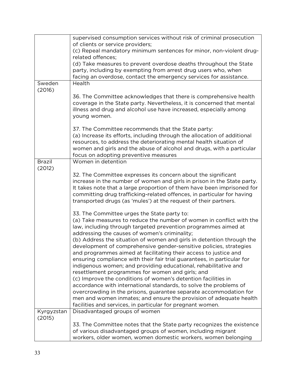|               | supervised consumption services without risk of criminal prosecution     |
|---------------|--------------------------------------------------------------------------|
|               | of clients or service providers;                                         |
|               | (c) Repeal mandatory minimum sentences for minor, non-violent drug-      |
|               | related offences;                                                        |
|               | (d) Take measures to prevent overdose deaths throughout the State        |
|               | party, including by exempting from arrest drug users who, when           |
|               | facing an overdose, contact the emergency services for assistance.       |
| Sweden        | Health                                                                   |
| (2016)        |                                                                          |
|               | 36. The Committee acknowledges that there is comprehensive health        |
|               | coverage in the State party. Nevertheless, it is concerned that mental   |
|               | illness and drug and alcohol use have increased, especially among        |
|               | young women.                                                             |
|               |                                                                          |
|               | 37. The Committee recommends that the State party:                       |
|               | (a) Increase its efforts, including through the allocation of additional |
|               | resources, to address the deteriorating mental health situation of       |
|               | women and girls and the abuse of alcohol and drugs, with a particular    |
| <b>Brazil</b> | focus on adopting preventive measures<br>Women in detention              |
| (2012)        |                                                                          |
|               | 32. The Committee expresses its concern about the significant            |
|               | increase in the number of women and girls in prison in the State party.  |
|               | It takes note that a large proportion of them have been imprisoned for   |
|               | committing drug trafficking-related offences, in particular for having   |
|               | transported drugs (as 'mules') at the request of their partners.         |
|               |                                                                          |
|               | 33. The Committee urges the State party to:                              |
|               | (a) Take measures to reduce the number of women in conflict with the     |
|               | law, including through targeted prevention programmes aimed at           |
|               | addressing the causes of women's criminality;                            |
|               | (b) Address the situation of women and girls in detention through the    |
|               | development of comprehensive gender-sensitive policies, strategies       |
|               | and programmes aimed at facilitating their access to justice and         |
|               | ensuring compliance with their fair trial guarantees, in particular for  |
|               | indigenous women; and providing educational, rehabilitative and          |
|               | resettlement programmes for women and girls; and                         |
|               | (c) Improve the conditions of women's detention facilities in            |
|               | accordance with international standards, to solve the problems of        |
|               | overcrowding in the prisons, guarantee separate accommodation for        |
|               | men and women inmates; and ensure the provision of adequate health       |
|               | facilities and services, in particular for pregnant women.               |
| Kyrgyzstan    | Disadvantaged groups of women                                            |
| (2015)        |                                                                          |
|               | 33. The Committee notes that the State party recognizes the existence    |
|               | of various disadvantaged groups of women, including migrant              |
|               | workers, older women, women domestic workers, women belonging            |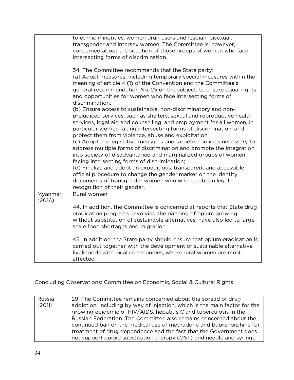|                   | to ethnic minorities, women drug users and lesbian, bisexual,                                                                                                                                                                                                                                                                               |
|-------------------|---------------------------------------------------------------------------------------------------------------------------------------------------------------------------------------------------------------------------------------------------------------------------------------------------------------------------------------------|
|                   | transgender and intersex women. The Committee is, however,                                                                                                                                                                                                                                                                                  |
|                   | concerned about the situation of those groups of women who face                                                                                                                                                                                                                                                                             |
|                   | intersecting forms of discrimination.                                                                                                                                                                                                                                                                                                       |
|                   |                                                                                                                                                                                                                                                                                                                                             |
|                   | 34. The Committee recommends that the State party:                                                                                                                                                                                                                                                                                          |
|                   | (a) Adopt measures, including temporary special measures within the<br>meaning of article 4 (1) of the Convention and the Committee's<br>general recommendation No. 25 on the subject, to ensure equal rights                                                                                                                               |
|                   | and opportunities for women who face intersecting forms of                                                                                                                                                                                                                                                                                  |
|                   | discrimination;                                                                                                                                                                                                                                                                                                                             |
|                   | (b) Ensure access to sustainable, non-discriminatory and non-<br>prejudiced services, such as shelters, sexual and reproductive health<br>services, legal aid and counselling, and employment for all women, in<br>particular women facing intersecting forms of discrimination, and<br>protect them from violence, abuse and exploitation; |
|                   | (c) Adopt the legislative measures and targeted policies necessary to                                                                                                                                                                                                                                                                       |
|                   | address multiple forms of discrimination and promote the integration                                                                                                                                                                                                                                                                        |
|                   | into society of disadvantaged and marginalized groups of women                                                                                                                                                                                                                                                                              |
|                   | facing intersecting forms of discrimination;                                                                                                                                                                                                                                                                                                |
|                   | (d) Finalize and adopt an expeditious, transparent and accessible                                                                                                                                                                                                                                                                           |
|                   | official procedure to change the gender marker on the identity                                                                                                                                                                                                                                                                              |
|                   | documents of transgender women who wish to obtain legal                                                                                                                                                                                                                                                                                     |
|                   | recognition of their gender.                                                                                                                                                                                                                                                                                                                |
| Myanmar<br>(2016) | Rural women                                                                                                                                                                                                                                                                                                                                 |
|                   | 44. In addition, the Committee is concerned at reports that State drug                                                                                                                                                                                                                                                                      |
|                   | eradication programs, involving the banning of opium growing                                                                                                                                                                                                                                                                                |
|                   | without substitution of sustainable alternatives, have also led to large-                                                                                                                                                                                                                                                                   |
|                   | scale food shortages and migration.                                                                                                                                                                                                                                                                                                         |
|                   |                                                                                                                                                                                                                                                                                                                                             |
|                   | 45. In addition, the State party should ensure that opium eradication is                                                                                                                                                                                                                                                                    |
|                   | carried out together with the development of sustainable alternative                                                                                                                                                                                                                                                                        |
|                   | livelihoods with local communities, where rural women are most                                                                                                                                                                                                                                                                              |
|                   | affected                                                                                                                                                                                                                                                                                                                                    |

Concluding Observations: Committee on Economic, Social & Cultural Rights

| Russia | 29. The Committee remains concerned about the spread of drug               |
|--------|----------------------------------------------------------------------------|
| (2011) | addiction, including by way of injection, which is the main factor for the |
|        | growing epidemic of HIV/AIDS, hepatitis C and tuberculosis in the          |
|        | Russian Federation. The Committee also remains concerned about the         |
|        | continued ban on the medical use of methadone and buprenorphine for        |
|        | treatment of drug dependence and the fact that the Government does         |
|        | not support opioid substitution therapy (OST) and needle and syringe       |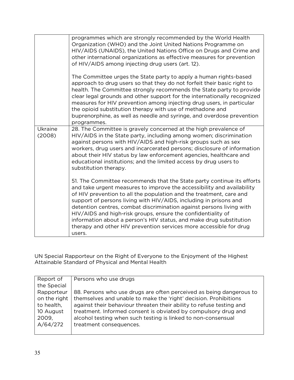|                   | programmes which are strongly recommended by the World Health<br>Organization (WHO) and the Joint United Nations Programme on<br>HIV/AIDS (UNAIDS), the United Nations Office on Drugs and Crime and<br>other international organizations as effective measures for prevention<br>of HIV/AIDS among injecting drug users (art. 12).                                                                                                                                                                                                                                                         |
|-------------------|---------------------------------------------------------------------------------------------------------------------------------------------------------------------------------------------------------------------------------------------------------------------------------------------------------------------------------------------------------------------------------------------------------------------------------------------------------------------------------------------------------------------------------------------------------------------------------------------|
|                   | The Committee urges the State party to apply a human rights-based<br>approach to drug users so that they do not forfeit their basic right to<br>health. The Committee strongly recommends the State party to provide<br>clear legal grounds and other support for the internationally recognized<br>measures for HIV prevention among injecting drug users, in particular<br>the opioid substitution therapy with use of methadone and<br>buprenorphine, as well as needle and syringe, and overdose prevention<br>programmes.                                                              |
| Ukraine<br>(2008) | 28. The Committee is gravely concerned at the high prevalence of<br>HIV/AIDS in the State party, including among women; discrimination<br>against persons with HIV/AIDS and high-risk groups such as sex<br>workers, drug users and incarcerated persons; disclosure of information<br>about their HIV status by law enforcement agencies, healthcare and<br>educational institutions; and the limited access by drug users to<br>substitution therapy.                                                                                                                                     |
|                   | 51. The Committee recommends that the State party continue its efforts<br>and take urgent measures to improve the accessibility and availability<br>of HIV prevention to all the population and the treatment, care and<br>support of persons living with HIV/AIDS, including in prisons and<br>detention centres, combat discrimination against persons living with<br>HIV/AIDS and high-risk groups, ensure the confidentiality of<br>information about a person's HIV status, and make drug substitution<br>therapy and other HIV prevention services more accessible for drug<br>users. |

UN Special Rapporteur on the Right of Everyone to the Enjoyment of the Highest Attainable Standard of Physical and Mental Health

| Report of    | Persons who use drugs                                                |
|--------------|----------------------------------------------------------------------|
| the Special  |                                                                      |
| Rapporteur   | 88. Persons who use drugs are often perceived as being dangerous to  |
| on the right | themselves and unable to make the 'right' decision. Prohibitions     |
| to health,   | against their behaviour threaten their ability to refuse testing and |
| 10 August    | treatment. Informed consent is obviated by compulsory drug and       |
| 2009,        | alcohol testing when such testing is linked to non-consensual        |
| A/64/272     | treatment consequences.                                              |
|              |                                                                      |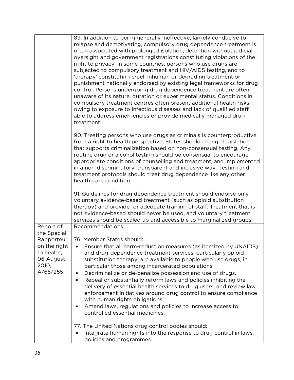|                                                                            | 89. In addition to being generally ineffective, largely conducive to<br>relapse and demotivating, compulsory drug dependence treatment is<br>often associated with prolonged isolation, detention without judicial<br>oversight and government registrations constituting violations of the<br>right to privacy. In some countries, persons who use drugs are<br>subjected to compulsory treatment and HIV/AIDS testing, and to<br>'therapy' constituting cruel, inhuman or degrading treatment or<br>punishment nationally endorsed by existing legal frameworks for drug<br>control. Persons undergoing drug dependence treatment are often<br>unaware of its nature, duration or experimental status. Conditions in<br>compulsory treatment centres often present additional health risks<br>owing to exposure to infectious diseases and lack of qualified staff<br>able to address emergencies or provide medically managed drug<br>treatment. |
|----------------------------------------------------------------------------|-----------------------------------------------------------------------------------------------------------------------------------------------------------------------------------------------------------------------------------------------------------------------------------------------------------------------------------------------------------------------------------------------------------------------------------------------------------------------------------------------------------------------------------------------------------------------------------------------------------------------------------------------------------------------------------------------------------------------------------------------------------------------------------------------------------------------------------------------------------------------------------------------------------------------------------------------------|
|                                                                            | 90. Treating persons who use drugs as criminals is counterproductive<br>from a right to health perspective. States should change legislation<br>that supports criminalization based on non-consensual testing. Any<br>routine drug or alcohol testing should be consensual to encourage<br>appropriate conditions of counselling and treatment, and implemented<br>in a non-discriminatory, transparent and inclusive way. Testing and<br>treatment protocols should treat drug dependence like any other<br>health-care condition.                                                                                                                                                                                                                                                                                                                                                                                                                 |
|                                                                            | 91. Guidelines for drug dependence treatment should endorse only<br>voluntary evidence-based treatment (such as opioid substitution<br>therapy) and provide for adequate training of staff. Treatment that is<br>not evidence-based should never be used, and voluntary treatment<br>services should be scaled up and accessible to marginalized groups.                                                                                                                                                                                                                                                                                                                                                                                                                                                                                                                                                                                            |
| Report of<br>the Special                                                   | Recommendations                                                                                                                                                                                                                                                                                                                                                                                                                                                                                                                                                                                                                                                                                                                                                                                                                                                                                                                                     |
| Rapporteur<br>on the right<br>to health,<br>06 August<br>2010,<br>A/65/255 | 76. Member States should:<br>Ensure that all harm-reduction measures (as itemized by UNAIDS)<br>and drug-dependence treatment services, particularly opioid<br>substitution therapy, are available to people who use drugs, in<br>particular those among incarcerated populations.<br>Decriminalize or de-penalize possession and use of drugs.<br>Repeal or substantially reform laws and policies inhibiting the<br>delivery of essential health services to drug users, and review law<br>enforcement initiatives around drug control to ensure compliance<br>with human rights obligations.<br>Amend laws, regulations and policies to increase access to<br>$\bullet$<br>controlled essential medicines.                                                                                                                                                                                                                                       |
|                                                                            | 77. The United Nations drug control bodies should:<br>Integrate human rights into the response to drug control in laws,<br>٠<br>policies and programmes.                                                                                                                                                                                                                                                                                                                                                                                                                                                                                                                                                                                                                                                                                                                                                                                            |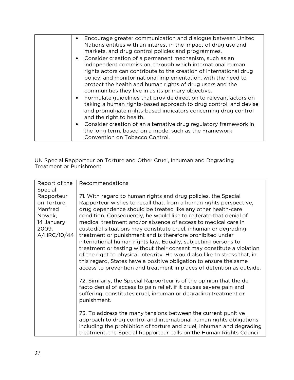| Encourage greater communication and dialogue between United        |
|--------------------------------------------------------------------|
| Nations entities with an interest in the impact of drug use and    |
| markets, and drug control policies and programmes.                 |
| Consider creation of a permanent mechanism, such as an             |
| independent commission, through which international human          |
| rights actors can contribute to the creation of international drug |
| policy, and monitor national implementation, with the need to      |
| protect the health and human rights of drug users and the          |
| communities they live in as its primary objective.                 |
| Formulate guidelines that provide direction to relevant actors on  |
| taking a human rights-based approach to drug control, and devise   |
| and promulgate rights-based indicators concerning drug control     |
| and the right to health.                                           |
| Consider creation of an alternative drug regulatory framework in   |
| the long term, based on a model such as the Framework              |
| Convention on Tobacco Control.                                     |

UN Special Rapporteur on Torture and Other Cruel, Inhuman and Degrading Treatment or Punishment

| Report of the                                                                                   | Recommendations                                                                                                                                                                                                                                                                                                                                                                                                                                                                                                                                                                                                                                                                                                                                                                                                                                   |
|-------------------------------------------------------------------------------------------------|---------------------------------------------------------------------------------------------------------------------------------------------------------------------------------------------------------------------------------------------------------------------------------------------------------------------------------------------------------------------------------------------------------------------------------------------------------------------------------------------------------------------------------------------------------------------------------------------------------------------------------------------------------------------------------------------------------------------------------------------------------------------------------------------------------------------------------------------------|
| Special<br>Rapporteur<br>on Torture,<br>Manfred<br>Nowak,<br>14 January<br>2009,<br>A/HRC/10/44 | 71. With regard to human rights and drug policies, the Special<br>Rapporteur wishes to recall that, from a human rights perspective,<br>drug dependence should be treated like any other health-care<br>condition. Consequently, he would like to reiterate that denial of<br>medical treatment and/or absence of access to medical care in<br>custodial situations may constitute cruel, inhuman or degrading<br>treatment or punishment and is therefore prohibited under<br>international human rights law. Equally, subjecting persons to<br>treatment or testing without their consent may constitute a violation<br>of the right to physical integrity. He would also like to stress that, in<br>this regard, States have a positive obligation to ensure the same<br>access to prevention and treatment in places of detention as outside. |
|                                                                                                 | 72. Similarly, the Special Rapporteur is of the opinion that the de<br>facto denial of access to pain relief, if it causes severe pain and<br>suffering, constitutes cruel, inhuman or degrading treatment or<br>punishment.<br>73. To address the many tensions between the current punitive<br>approach to drug control and international human rights obligations,<br>including the prohibition of torture and cruel, inhuman and degrading<br>treatment, the Special Rapporteur calls on the Human Rights Council                                                                                                                                                                                                                                                                                                                             |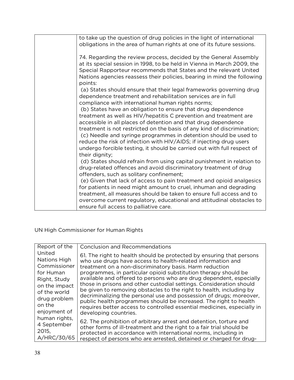| to take up the question of drug policies in the light of international                                                                                                                                                                                                                                  |
|---------------------------------------------------------------------------------------------------------------------------------------------------------------------------------------------------------------------------------------------------------------------------------------------------------|
| obligations in the area of human rights at one of its future sessions.                                                                                                                                                                                                                                  |
| 74. Regarding the review process, decided by the General Assembly<br>at its special session in 1998, to be held in Vienna in March 2009, the<br>Special Rapporteur recommends that States and the relevant United<br>Nations agencies reassess their policies, bearing in mind the following<br>points: |
| (a) States should ensure that their legal frameworks governing drug<br>dependence treatment and rehabilitation services are in full<br>compliance with international human rights norms;                                                                                                                |
| (b) States have an obligation to ensure that drug dependence<br>treatment as well as HIV/hepatitis C prevention and treatment are<br>accessible in all places of detention and that drug dependence                                                                                                     |
| treatment is not restricted on the basis of any kind of discrimination;<br>(c) Needle and syringe programmes in detention should be used to<br>reduce the risk of infection with HIV/AIDS; if injecting drug users                                                                                      |
| undergo forcible testing, it should be carried out with full respect of<br>their dignity;                                                                                                                                                                                                               |
| (d) States should refrain from using capital punishment in relation to<br>drug-related offences and avoid discriminatory treatment of drug<br>offenders, such as solitary confinement;                                                                                                                  |
| (e) Given that lack of access to pain treatment and opioid analgesics                                                                                                                                                                                                                                   |
| for patients in need might amount to cruel, inhuman and degrading<br>treatment, all measures should be taken to ensure full access and to                                                                                                                                                               |
| overcome current regulatory, educational and attitudinal obstacles to                                                                                                                                                                                                                                   |
| ensure full access to palliative care.                                                                                                                                                                                                                                                                  |

UN High Commissioner for Human Rights

| Report of the                                                                                                                                  | <b>Conclusion and Recommendations</b>                                                                                                                                                                                                                                                                                                                                                                                                                                                                                                                                                                                                                                                                                                  |
|------------------------------------------------------------------------------------------------------------------------------------------------|----------------------------------------------------------------------------------------------------------------------------------------------------------------------------------------------------------------------------------------------------------------------------------------------------------------------------------------------------------------------------------------------------------------------------------------------------------------------------------------------------------------------------------------------------------------------------------------------------------------------------------------------------------------------------------------------------------------------------------------|
| United<br>Nations High<br>Commissioner<br>for Human<br>Right, Study<br>on the impact<br>of the world<br>drug problem<br>on the<br>enjoyment of | 61. The right to health should be protected by ensuring that persons<br>who use drugs have access to health-related information and<br>treatment on a non-discriminatory basis. Harm reduction<br>programmes, in particular opioid substitution therapy should be<br>available and offered to persons who are drug dependent, especially<br>those in prisons and other custodial settings. Consideration should<br>be given to removing obstacles to the right to health, including by<br>decriminalizing the personal use and possession of drugs; moreover,<br>public health programmes should be increased. The right to health<br>requires better access to controlled essential medicines, especially in<br>developing countries. |
| human rights,<br>4 September<br>2015,<br>A/HRC/30/65                                                                                           | 62. The prohibition of arbitrary arrest and detention, torture and<br>other forms of ill-treatment and the right to a fair trial should be<br>protected in accordance with international norms, including in<br>respect of persons who are arrested, detained or charged for drug-                                                                                                                                                                                                                                                                                                                                                                                                                                                     |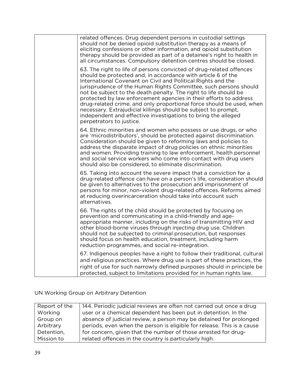| related offences. Drug dependent persons in custodial settings<br>should not be denied opioid substitution therapy as a means of<br>eliciting confessions or other information, and opioid substitution<br>therapy should be provided as part of a detainee's right to health in<br>all circumstances. Compulsory detention centres should be closed.                                                                                                                                                                                                                                                                                                   |
|---------------------------------------------------------------------------------------------------------------------------------------------------------------------------------------------------------------------------------------------------------------------------------------------------------------------------------------------------------------------------------------------------------------------------------------------------------------------------------------------------------------------------------------------------------------------------------------------------------------------------------------------------------|
| 63. The right to life of persons convicted of drug-related offences<br>should be protected and, in accordance with article 6 of the<br>International Covenant on Civil and Political Rights and the<br>jurisprudence of the Human Rights Committee, such persons should<br>not be subject to the death penalty. The right to life should be<br>protected by law enforcement agencies in their efforts to address<br>drug-related crime, and only proportional force should be used, when<br>necessary. Extrajudicial killings should be subject to prompt,<br>independent and effective investigations to bring the alleged<br>perpetrators to justice. |
| 64. Ethnic minorities and women who possess or use drugs, or who<br>are 'microdistributors', should be protected against discrimination.<br>Consideration should be given to reforming laws and policies to<br>address the disparate impact of drug policies on ethnic minorities<br>and women. Providing training to law enforcement, health personnel<br>and social service workers who come into contact with drug users<br>should also be considered, to eliminate discrimination.                                                                                                                                                                  |
| 65. Taking into account the severe impact that a conviction for a<br>drug-related offence can have on a person's life, consideration should<br>be given to alternatives to the prosecution and imprisonment of<br>persons for minor, non-violent drug-related offences. Reforms aimed<br>at reducing overincarceration should take into account such<br>alternatives.                                                                                                                                                                                                                                                                                   |
| 66. The rights of the child should be protected by focusing on<br>prevention and communicating in a child-friendly and age-<br>appropriate manner, including on the risks of transmitting HIV and<br>other blood-borne viruses through injecting drug use. Children<br>should not be subjected to criminal prosecution, but responses<br>should focus on health education, treatment, including harm<br>reduction programmes, and social re-integration.                                                                                                                                                                                                |
| 67. Indigenous peoples have a right to follow their traditional, cultural<br>and religious practices. Where drug use is part of these practices, the<br>right of use for such narrowly defined purposes should in principle be<br>protected, subject to limitations provided for in human rights law.                                                                                                                                                                                                                                                                                                                                                   |

UN Working Group on Arbitrary Detention

| Report of the | 144. Periodic judicial reviews are often not carried out once a drug   |
|---------------|------------------------------------------------------------------------|
| Working       | user or a chemical dependent has been put in detention. In the         |
| Group on      | absence of judicial review, a person may be detained for prolonged     |
| Arbitrary     | periods, even when the person is eligible for release. This is a cause |
| Detention,    | for concern, given that the number of those arrested for drug-         |
| Mission to    | related offences in the country is particularly high.                  |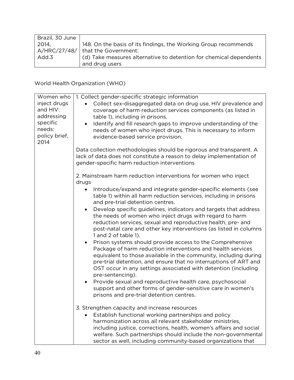| Brazil, 30 June |                                                                    |
|-----------------|--------------------------------------------------------------------|
| 2014.           | 148. On the basis of its findings, the Working Group recommends    |
|                 | $\vert$ A/HRC/27/48/ $\vert$ that the Government:                  |
| Add.3           | (d) Take measures alternative to detention for chemical dependents |
|                 | and drug users                                                     |

World Health Organization (WHO)

| Women who                                         | 1. Collect gender-specific strategic information                                                                                                                                                                                                                                                                                                                           |
|---------------------------------------------------|----------------------------------------------------------------------------------------------------------------------------------------------------------------------------------------------------------------------------------------------------------------------------------------------------------------------------------------------------------------------------|
| inject drugs<br>and HIV:                          | Collect sex-disaggregated data on drug use, HIV prevalence and<br>coverage of harm reduction services components (as listed in                                                                                                                                                                                                                                             |
| addressing<br>specific<br>needs:<br>policy brief, | table 1), including in prisons.<br>Identify and fill research gaps to improve understanding of the<br>$\bullet$<br>needs of women who inject drugs. This is necessary to inform<br>evidence-based service provision.                                                                                                                                                       |
| 2014                                              |                                                                                                                                                                                                                                                                                                                                                                            |
|                                                   | Data collection methodologies should be rigorous and transparent. A<br>lack of data does not constitute a reason to delay implementation of<br>gender-specific harm reduction interventions                                                                                                                                                                                |
|                                                   | 2. Mainstream harm reduction interventions for women who inject<br>drugs                                                                                                                                                                                                                                                                                                   |
|                                                   | Introduce/expand and integrate gender-specific elements (see<br>table 1) within all harm reduction services, including in prisons<br>and pre-trial detention centres.                                                                                                                                                                                                      |
|                                                   | Develop specific guidelines, indicators and targets that address<br>$\bullet$<br>the needs of women who inject drugs with regard to harm<br>reduction services, sexual and reproductive health, pre- and<br>post-natal care and other key interventions (as listed in columns<br>1 and 2 of table 1).                                                                      |
|                                                   | Prison systems should provide access to the Comprehensive<br>$\bullet$<br>Package of harm reduction interventions and health services<br>equivalent to those available in the community, including during<br>pre-trial detention, and ensure that no interruptions of ART and<br>OST occur in any settings associated with detention (including<br>pre-sentencing).        |
|                                                   | Provide sexual and reproductive health care, psychosocial<br>$\bullet$<br>support and other forms of gender-sensitive care in women's<br>prisons and pre-trial detention centres.                                                                                                                                                                                          |
|                                                   | 3. Strengthen capacity and increase resources<br>Establish functional working partnerships and policy<br>harmonization across all relevant stakeholder ministries,<br>including justice, corrections, health, women's affairs and social<br>welfare. Such partnerships should include the non-governmental<br>sector as well, including community-based organizations that |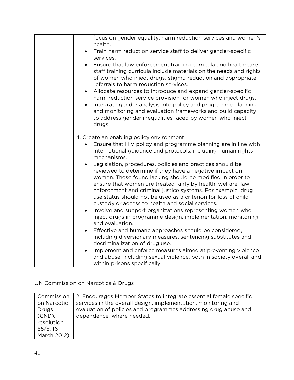| focus on gender equality, harm reduction services and women's<br>health.<br>Train harm reduction service staff to deliver gender-specific<br>$\bullet$<br>services.<br>Ensure that law enforcement training curricula and health-care<br>$\bullet$<br>staff training curricula include materials on the needs and rights<br>of women who inject drugs, stigma reduction and appropriate<br>referrals to harm reduction services.<br>Allocate resources to introduce and expand gender-specific<br>$\bullet$<br>harm reduction service provision for women who inject drugs.<br>Integrate gender analysis into policy and programme planning<br>$\bullet$<br>and monitoring and evaluation frameworks and build capacity<br>to address gender inequalities faced by women who inject<br>drugs.                                                                                                                                                                                                                                                                                                                                                                       |
|---------------------------------------------------------------------------------------------------------------------------------------------------------------------------------------------------------------------------------------------------------------------------------------------------------------------------------------------------------------------------------------------------------------------------------------------------------------------------------------------------------------------------------------------------------------------------------------------------------------------------------------------------------------------------------------------------------------------------------------------------------------------------------------------------------------------------------------------------------------------------------------------------------------------------------------------------------------------------------------------------------------------------------------------------------------------------------------------------------------------------------------------------------------------|
| 4. Create an enabling policy environment<br>Ensure that HIV policy and programme planning are in line with<br>$\bullet$<br>international guidance and protocols, including human rights<br>mechanisms.<br>Legislation, procedures, policies and practices should be<br>$\bullet$<br>reviewed to determine if they have a negative impact on<br>women. Those found lacking should be modified in order to<br>ensure that women are treated fairly by health, welfare, law<br>enforcement and criminal justice systems. For example, drug<br>use status should not be used as a criterion for loss of child<br>custody or access to health and social services.<br>Involve and support organizations representing women who<br>$\bullet$<br>inject drugs in programme design, implementation, monitoring<br>and evaluation.<br>Effective and humane approaches should be considered,<br>$\bullet$<br>including diversionary measures, sentencing substitutes and<br>decriminalization of drug use.<br>Implement and enforce measures aimed at preventing violence<br>and abuse, including sexual violence, both in society overall and<br>within prisons specifically |

UN Commission on Narcotics & Drugs

| Commission  | 2: Encourages Member States to integrate essential female specific |
|-------------|--------------------------------------------------------------------|
| on Narcotic | services in the overall design, implementation, monitoring and     |
| Drugs       | evaluation of policies and programmes addressing drug abuse and    |
| $(CND)$ ,   | dependence, where needed.                                          |
| resolution  |                                                                    |
| 55/5, 16    |                                                                    |
| March 2012) |                                                                    |